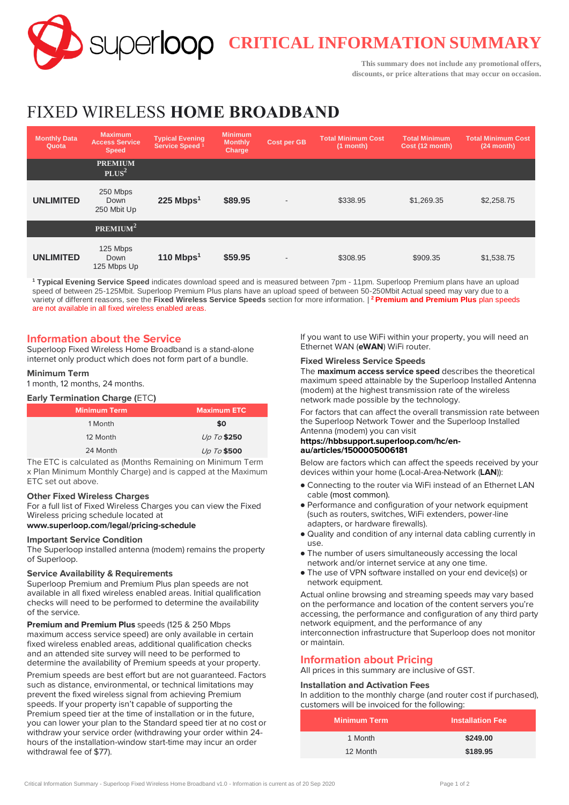**CRITICAL INFORMATION SUMMARY**

**This summary does not include any promotional offers, discounts, or price alterations that may occur on occasion.**

# FIXED WIRELESS **HOME BROADBAND**

| <b>Monthly Data</b><br>Quota | <b>Maximum</b><br><b>Access Service</b><br><b>Speed</b> | <b>Typical Evening</b><br>Service Speed <sup>1</sup> | <b>Minimum</b><br><b>Monthly</b><br>Charge | <b>Cost per GB</b> | <b>Total Minimum Cost</b><br>$(1$ month) | <b>Total Minimum</b><br>Cost (12 month) | <b>Total Minimum Cost</b><br>$(24$ month) |
|------------------------------|---------------------------------------------------------|------------------------------------------------------|--------------------------------------------|--------------------|------------------------------------------|-----------------------------------------|-------------------------------------------|
|                              | <b>PREMIUM</b><br>PLUS <sup>2</sup>                     |                                                      |                                            |                    |                                          |                                         |                                           |
| <b>UNLIMITED</b>             | 250 Mbps<br>Down<br>250 Mbit Up                         | $225$ Mbps <sup>1</sup>                              | \$89.95                                    | $\overline{a}$     | \$338.95                                 | \$1,269.35                              | \$2,258.75                                |
|                              | PREMIUM <sup>2</sup>                                    |                                                      |                                            |                    |                                          |                                         |                                           |
| <b>UNLIMITED</b>             | 125 Mbps<br>Down<br>125 Mbps Up                         | 110 Mbps $1$                                         | \$59.95                                    | ٠                  | \$308.95                                 | \$909.35                                | \$1,538.75                                |

**<sup>1</sup> Typical Evening Service Speed** indicates download speed and is measured between 7pm - 11pm. Superloop Premium plans have an upload speed of between 25-125Mbit. Superloop Premium Plus plans have an upload speed of between 50-250Mbit Actual speed may vary due to a variety of different reasons, see the **Fixed Wireless Service Speeds** section for more information. | **<sup>2</sup>Premium and Premium Plus** plan speeds are not available in all fixed wireless enabled areas.

## **Information about the Service**

Superloop Fixed Wireless Home Broadband is a stand-alone internet only product which does not form part of a bundle.

#### **Minimum Term**

1 month, 12 months, 24 months.

#### **Early Termination Charge (**ETC**)**

| Minimum Term. | <b>Maximum ETC</b> |
|---------------|--------------------|
| 1 Month       | \$0                |
| 12 Month      | Up To \$250        |
| 24 Month      | Up To \$500        |

The ETC is calculated as (Months Remaining on Minimum Term x Plan Minimum Monthly Charge) and is capped at the Maximum ETC set out above.

#### **Other Fixed Wireless Charges**

For a full list of Fixed Wireless Charges you can view the Fixed Wireless pricing schedule located at

#### **[www.superloop.com/legal/pricing-schedule](https://www.superloop.com/legal/pricing-schedule.html)**

#### **Important Service Condition**

The Superloop installed antenna (modem) remains the property of Superloop.

#### **Service Availability & Requirements**

Superloop Premium and Premium Plus plan speeds are not available in all fixed wireless enabled areas. Initial qualification checks will need to be performed to determine the availability of the service.

**Premium and Premium Plus** speeds (125 & 250 Mbps maximum access service speed) are only available in certain fixed wireless enabled areas, additional qualification checks and an attended site survey will need to be performed to determine the availability of Premium speeds at your property.

Premium speeds are best effort but are not guaranteed. Factors such as distance, environmental, or technical limitations may prevent the fixed wireless signal from achieving Premium speeds. If your property isn't capable of supporting the Premium speed tier at the time of installation or in the future, you can lower your plan to the Standard speed tier at no cost or withdraw your service order (withdrawing your order within 24 hours of the installation-window start-time may incur an order withdrawal fee of \$77).

If you want to use WiFi within your property, you will need an Ethernet WAN (**eWAN**) WiFi router.

#### **Fixed Wireless Service Speeds**

The **maximum access service speed** describes the theoretical maximum speed attainable by the Superloop Installed Antenna (modem) at the highest transmission rate of the wireless network made possible by the technology.

For factors that can affect the overall transmission rate between the Superloop Network Tower and the Superloop Installed Antenna (modem) you can visit

#### **https://hbbsupport.superloop.com/hc/enau/articles/1500005006181**

Below are factors which can affect the speeds received by your devices within your home (Local-Area-Network (**LAN**)):

- Connecting to the router via WiFi instead of an Ethernet LAN cable (most common).
- Performance and configuration of your network equipment (such as routers, switches, WiFi extenders, power-line adapters, or hardware firewalls).
- Quality and condition of any internal data cabling currently in use.
- The number of users simultaneously accessing the local network and/or internet service at any one time.
- The use of VPN software installed on your end device(s) or network equipment.

Actual online browsing and streaming speeds may vary based on the performance and location of the content servers you're accessing, the performance and configuration of any third party network equipment, and the performance of any interconnection infrastructure that Superloop does not monitor or maintain.

## **Information about Pricing**

All prices in this summary are inclusive of GST.

## **Installation and Activation Fees**

In addition to the monthly charge (and router cost if purchased), customers will be invoiced for the following:

| <b>Minimum Term</b> | <b>Installation Fee</b> |
|---------------------|-------------------------|
| 1 Month             | \$249.00                |
| 12 Month            | \$189.95                |